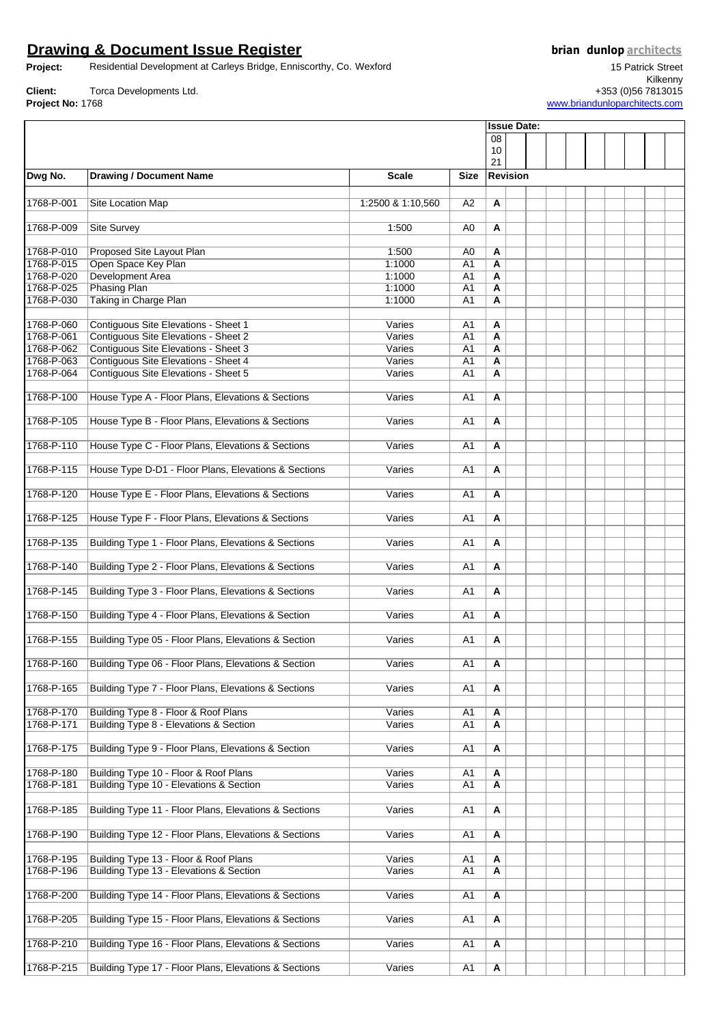### **Drawing & Document Issue Register**

**Project:** Residential Development at Carleys Bridge, Enniscorthy, Co. Wexford

**Client:** Torca Developments Ltd. **Project No:** 1768

15 Patrick Street Kilkenny +353 (0)56 7813015

[www.briandunloparchitects.com](http://www.briandunloparchitects.com/)

**Issue Date:**

08 10  $21$ **Dwg No. Drawing / Document Name Scale Size Revision** 1768-P-001 Site Location Map **1:2500 & 1:10,560** A2 **A** 1768-P-009 Site Survey 1:500 A0 **A** 1768-P-010 Proposed Site Layout Plan 1:500 A0 **A** 1768-P-015 Open Space Key Plan 1:1000 A1 **A** 1768-P-020 Development Area<br>1768-P-025 Phasing Plan 1768-P-025 Phasing Plan 1:1000 A1 **A** Taking in Charge Plan **1:1000** A1 **A** 1768-P-060 Contiguous Site Elevations - Sheet 1 Varies A1 **A** 1768-P-061 Contiguous Site Elevations - Sheet 2 Varies A1 **A A** 1768-P-062 Contiguous Site Elevations - Sheet 3 Varies A1 **A** 1768-P-063 Contiguous Site Elevations - Sheet 4 Varies A1 **A 1768** Contiguous Site Elevations - Sheet 5 Varies A1 **A** 1768-P-100 House Type A - Floor Plans, Elevations & Sections Varies A1 **A** 1768-P-105 House Type B - Floor Plans, Elevations & Sections **Varies** A1 **A** 1768-P-110 House Type C - Floor Plans, Elevations & Sections Varies A1 **A** 1768-P-115 House Type D-D1 - Floor Plans, Elevations & Sections Varies A1 | A 1768-P-120 House Type E - Floor Plans, Elevations & Sections Varies A1 **A** 1768-P-125 House Type F - Floor Plans, Elevations & Sections Varies A1 **A** 1768-P-135 Building Type 1 - Floor Plans, Elevations & Sections Varies A1 **A** 1768-P-140 Building Type 2 - Floor Plans, Elevations & Sections Varies A1 **A** 1768-P-145 Building Type 3 - Floor Plans, Elevations & Sections Varies A1 **A** 1768-P-150 Building Type 4 - Floor Plans, Elevations & Section Varies A1 **A** 1768-P-155 Building Type 05 - Floor Plans, Elevations & Section Varies A1 **A** 1768-P-160 Building Type 06 - Floor Plans, Elevations & Section Varies A1 **A** 1768-P-165 Building Type 7 - Floor Plans, Elevations & Sections Varies A1 **A** 1768-P-170 Building Type 8 - Floor & Roof Plans **Varies A1 A**<br>1768-P-171 Building Type 8 - Elevations & Section Varies A1 **A 1768 - Elevations & Section Concrete Act And A** Varies A1 **A** 1768-P-175 Building Type 9 - Floor Plans, Elevations & Section Varies A1 **A** 1768-P-180 Building Type 10 - Floor & Roof Plans **Varies A1 A1 A** 1768-P-181 Building Type 10 - Elevations & Section Varies A1 **A A** 1768-P-185 Building Type 11 - Floor Plans, Elevations & Sections Varies A1 **A** 1768-P-190 Building Type 12 - Floor Plans, Elevations & Sections Varies A1 **A** 1768-P-195 Building Type 13 - Floor & Roof Plans Varies A1 **A 1768-Property Building Type 13 - Elevations & Section Community Community Community Community Community Community Community Community Community Community Community Community Community Community Community Community Communi** 1768-P-200 Building Type 14 - Floor Plans, Elevations & Sections Varies A1 **A** 1768-P-205 Building Type 15 - Floor Plans, Elevations & Sections Varies A1 **A** 1768-P-210 Building Type 16 - Floor Plans, Elevations & Sections **Varies** A1 **A** 1768-P-215 Building Type 17 - Floor Plans, Elevations & Sections Varies A1 **A**